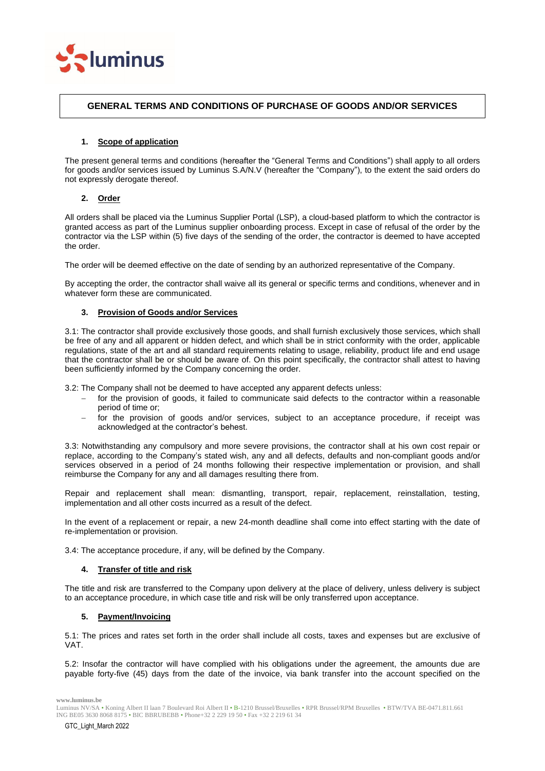

# **GENERAL TERMS AND CONDITIONS OF PURCHASE OF GOODS AND/OR SERVICES**

## **1. Scope of application**

The present general terms and conditions (hereafter the "General Terms and Conditions") shall apply to all orders for goods and/or services issued by Luminus S.A/N.V (hereafter the "Company"), to the extent the said orders do not expressly derogate thereof.

# **2. Order**

All orders shall be placed via the Luminus Supplier Portal (LSP), a cloud-based platform to which the contractor is granted access as part of the Luminus supplier onboarding process. Except in case of refusal of the order by the contractor via the LSP within (5) five days of the sending of the order, the contractor is deemed to have accepted the order.

The order will be deemed effective on the date of sending by an authorized representative of the Company.

By accepting the order, the contractor shall waive all its general or specific terms and conditions, whenever and in whatever form these are communicated.

### **3. Provision of Goods and/or Services**

3.1: The contractor shall provide exclusively those goods, and shall furnish exclusively those services, which shall be free of any and all apparent or hidden defect, and which shall be in strict conformity with the order, applicable regulations, state of the art and all standard requirements relating to usage, reliability, product life and end usage that the contractor shall be or should be aware of. On this point specifically, the contractor shall attest to having been sufficiently informed by the Company concerning the order.

3.2: The Company shall not be deemed to have accepted any apparent defects unless:

- for the provision of goods, it failed to communicate said defects to the contractor within a reasonable period of time or;
- − for the provision of goods and/or services, subject to an acceptance procedure, if receipt was acknowledged at the contractor's behest.

3.3: Notwithstanding any compulsory and more severe provisions, the contractor shall at his own cost repair or replace, according to the Company's stated wish, any and all defects, defaults and non-compliant goods and/or services observed in a period of 24 months following their respective implementation or provision, and shall reimburse the Company for any and all damages resulting there from.

Repair and replacement shall mean: dismantling, transport, repair, replacement, reinstallation, testing, implementation and all other costs incurred as a result of the defect.

In the event of a replacement or repair, a new 24-month deadline shall come into effect starting with the date of re-implementation or provision.

3.4: The acceptance procedure, if any, will be defined by the Company.

### **4. Transfer of title and risk**

The title and risk are transferred to the Company upon delivery at the place of delivery, unless delivery is subject to an acceptance procedure, in which case title and risk will be only transferred upon acceptance.

### **5. Payment/Invoicing**

5.1: The prices and rates set forth in the order shall include all costs, taxes and expenses but are exclusive of VAT.

5.2: Insofar the contractor will have complied with his obligations under the agreement, the amounts due are payable forty-five (45) days from the date of the invoice, via bank transfer into the account specified on the

Luminus NV/SA • Koning Albert II laan 7 Boulevard Roi Albert II • B-1210 Brussel/Bruxelles • RPR Brussel/RPM Bruxelles • BTW/TVA BE-0471.811.661 ING BE05 3630 8068 8175 • BIC BBRUBEBB • Phone+32 2 229 19 50 • Fax +32 2 219 61 34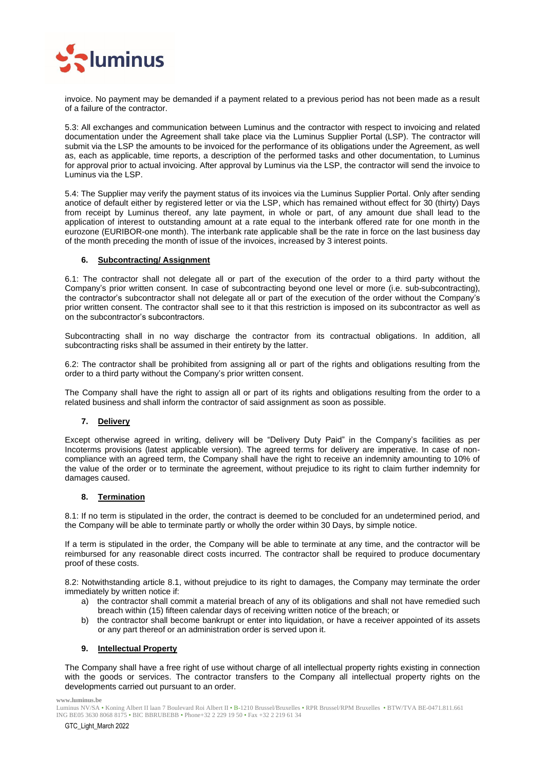

invoice. No payment may be demanded if a payment related to a previous period has not been made as a result of a failure of the contractor.

5.3: All exchanges and communication between Luminus and the contractor with respect to invoicing and related documentation under the Agreement shall take place via the Luminus Supplier Portal (LSP). The contractor will submit via the LSP the amounts to be invoiced for the performance of its obligations under the Agreement, as well as, each as applicable, time reports, a description of the performed tasks and other documentation, to Luminus for approval prior to actual invoicing. After approval by Luminus via the LSP, the contractor will send the invoice to Luminus via the LSP.

5.4: The Supplier may verify the payment status of its invoices via the Luminus Supplier Portal. Only after sending anotice of default either by registered letter or via the LSP, which has remained without effect for 30 (thirty) Days from receipt by Luminus thereof, any late payment, in whole or part, of any amount due shall lead to the application of interest to outstanding amount at a rate equal to the interbank offered rate for one month in the eurozone (EURIBOR-one month). The interbank rate applicable shall be the rate in force on the last business day of the month preceding the month of issue of the invoices, increased by 3 interest points.

### **6. Subcontracting/ Assignment**

6.1: The contractor shall not delegate all or part of the execution of the order to a third party without the Company's prior written consent. In case of subcontracting beyond one level or more (i.e. sub-subcontracting), the contractor's subcontractor shall not delegate all or part of the execution of the order without the Company's prior written consent. The contractor shall see to it that this restriction is imposed on its subcontractor as well as on the subcontractor's subcontractors.

Subcontracting shall in no way discharge the contractor from its contractual obligations. In addition, all subcontracting risks shall be assumed in their entirety by the latter.

6.2: The contractor shall be prohibited from assigning all or part of the rights and obligations resulting from the order to a third party without the Company's prior written consent.

The Company shall have the right to assign all or part of its rights and obligations resulting from the order to a related business and shall inform the contractor of said assignment as soon as possible.

# **7. Delivery**

Except otherwise agreed in writing, delivery will be "Delivery Duty Paid" in the Company's facilities as per Incoterms provisions (latest applicable version). The agreed terms for delivery are imperative. In case of noncompliance with an agreed term, the Company shall have the right to receive an indemnity amounting to 10% of the value of the order or to terminate the agreement, without prejudice to its right to claim further indemnity for damages caused.

### **8. Termination**

8.1: If no term is stipulated in the order, the contract is deemed to be concluded for an undetermined period, and the Company will be able to terminate partly or wholly the order within 30 Days, by simple notice.

If a term is stipulated in the order, the Company will be able to terminate at any time, and the contractor will be reimbursed for any reasonable direct costs incurred. The contractor shall be required to produce documentary proof of these costs.

8.2: Notwithstanding article 8.1, without prejudice to its right to damages, the Company may terminate the order immediately by written notice if:

- a) the contractor shall commit a material breach of any of its obligations and shall not have remedied such breach within (15) fifteen calendar days of receiving written notice of the breach; or
- b) the contractor shall become bankrupt or enter into liquidation, or have a receiver appointed of its assets or any part thereof or an administration order is served upon it.

### **9. Intellectual Property**

The Company shall have a free right of use without charge of all intellectual property rights existing in connection with the goods or services. The contractor transfers to the Company all intellectual property rights on the developments carried out pursuant to an order.

Luminus NV/SA • Koning Albert II laan 7 Boulevard Roi Albert II • B-1210 Brussel/Bruxelles • RPR Brussel/RPM Bruxelles • BTW/TVA BE-0471.811.661 ING BE05 3630 8068 8175 • BIC BBRUBEBB • Phone+32 2 229 19 50 • Fax +32 2 219 61 34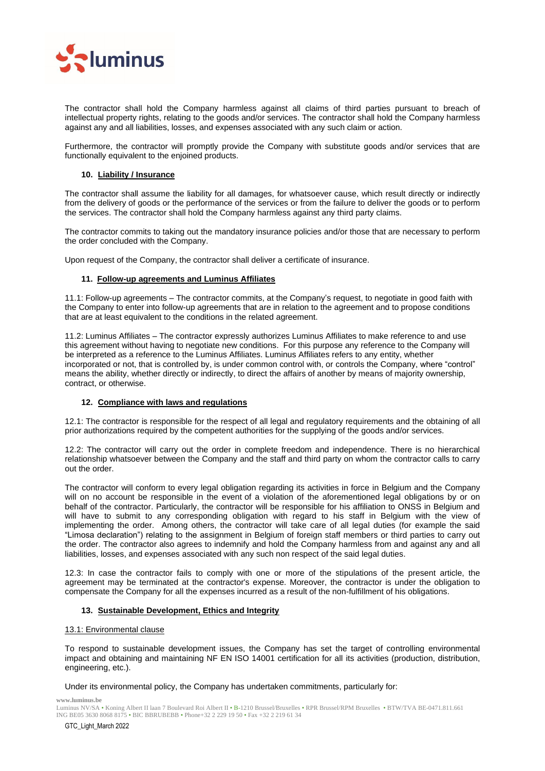

The contractor shall hold the Company harmless against all claims of third parties pursuant to breach of intellectual property rights, relating to the goods and/or services. The contractor shall hold the Company harmless against any and all liabilities, losses, and expenses associated with any such claim or action.

Furthermore, the contractor will promptly provide the Company with substitute goods and/or services that are functionally equivalent to the enjoined products.

# **10. Liability / Insurance**

The contractor shall assume the liability for all damages, for whatsoever cause, which result directly or indirectly from the delivery of goods or the performance of the services or from the failure to deliver the goods or to perform the services. The contractor shall hold the Company harmless against any third party claims.

The contractor commits to taking out the mandatory insurance policies and/or those that are necessary to perform the order concluded with the Company.

Upon request of the Company, the contractor shall deliver a certificate of insurance.

### **11. Follow-up agreements and Luminus Affiliates**

11.1: Follow-up agreements – The contractor commits, at the Company's request, to negotiate in good faith with the Company to enter into follow-up agreements that are in relation to the agreement and to propose conditions that are at least equivalent to the conditions in the related agreement.

11.2: Luminus Affiliates – The contractor expressly authorizes Luminus Affiliates to make reference to and use this agreement without having to negotiate new conditions. For this purpose any reference to the Company will be interpreted as a reference to the Luminus Affiliates. Luminus Affiliates refers to any entity, whether incorporated or not, that is controlled by, is under common control with, or controls the Company, where "control" means the ability, whether directly or indirectly, to direct the affairs of another by means of majority ownership, contract, or otherwise.

### **12. Compliance with laws and regulations**

12.1: The contractor is responsible for the respect of all legal and regulatory requirements and the obtaining of all prior authorizations required by the competent authorities for the supplying of the goods and/or services.

12.2: The contractor will carry out the order in complete freedom and independence. There is no hierarchical relationship whatsoever between the Company and the staff and third party on whom the contractor calls to carry out the order.

The contractor will conform to every legal obligation regarding its activities in force in Belgium and the Company will on no account be responsible in the event of a violation of the aforementioned legal obligations by or on behalf of the contractor. Particularly, the contractor will be responsible for his affiliation to ONSS in Belgium and will have to submit to any corresponding obligation with regard to his staff in Belgium with the view of implementing the order. Among others, the contractor will take care of all legal duties (for example the said "Limosa declaration") relating to the assignment in Belgium of foreign staff members or third parties to carry out the order. The contractor also agrees to indemnify and hold the Company harmless from and against any and all liabilities, losses, and expenses associated with any such non respect of the said legal duties.

12.3: In case the contractor fails to comply with one or more of the stipulations of the present article, the agreement may be terminated at the contractor's expense. Moreover, the contractor is under the obligation to compensate the Company for all the expenses incurred as a result of the non-fulfillment of his obligations.

### **13. Sustainable Development, Ethics and Integrity**

### 13.1: Environmental clause

To respond to sustainable development issues, the Company has set the target of controlling environmental impact and obtaining and maintaining NF EN ISO 14001 certification for all its activities (production, distribution, engineering, etc.).

Under its environmental policy, the Company has undertaken commitments, particularly for:

**www.luminus.be**

Luminus NV/SA • Koning Albert II laan 7 Boulevard Roi Albert II • B-1210 Brussel/Bruxelles • RPR Brussel/RPM Bruxelles • BTW/TVA BE-0471.811.661 ING BE05 3630 8068 8175 • BIC BBRUBEBB • Phone+32 2 229 19 50 • Fax +32 2 219 61 34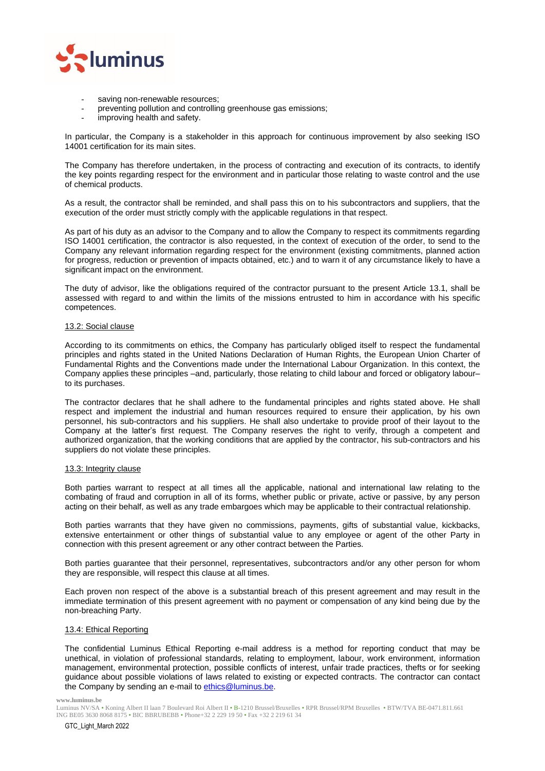

- saving non-renewable resources;
- preventing pollution and controlling greenhouse gas emissions;
- improving health and safety.

In particular, the Company is a stakeholder in this approach for continuous improvement by also seeking ISO 14001 certification for its main sites.

The Company has therefore undertaken, in the process of contracting and execution of its contracts, to identify the key points regarding respect for the environment and in particular those relating to waste control and the use of chemical products.

As a result, the contractor shall be reminded, and shall pass this on to his subcontractors and suppliers, that the execution of the order must strictly comply with the applicable regulations in that respect.

As part of his duty as an advisor to the Company and to allow the Company to respect its commitments regarding ISO 14001 certification, the contractor is also requested, in the context of execution of the order, to send to the Company any relevant information regarding respect for the environment (existing commitments, planned action for progress, reduction or prevention of impacts obtained, etc.) and to warn it of any circumstance likely to have a significant impact on the environment.

The duty of advisor, like the obligations required of the contractor pursuant to the present Article 13.1, shall be assessed with regard to and within the limits of the missions entrusted to him in accordance with his specific competences.

### 13.2: Social clause

According to its commitments on ethics, the Company has particularly obliged itself to respect the fundamental principles and rights stated in the United Nations Declaration of Human Rights, the European Union Charter of Fundamental Rights and the Conventions made under the International Labour Organization. In this context, the Company applies these principles –and, particularly, those relating to child labour and forced or obligatory labour– to its purchases.

The contractor declares that he shall adhere to the fundamental principles and rights stated above. He shall respect and implement the industrial and human resources required to ensure their application, by his own personnel, his sub-contractors and his suppliers. He shall also undertake to provide proof of their layout to the Company at the latter's first request. The Company reserves the right to verify, through a competent and authorized organization, that the working conditions that are applied by the contractor, his sub-contractors and his suppliers do not violate these principles.

### 13.3: Integrity clause

Both parties warrant to respect at all times all the applicable, national and international law relating to the combating of fraud and corruption in all of its forms, whether public or private, active or passive, by any person acting on their behalf, as well as any trade embargoes which may be applicable to their contractual relationship.

Both parties warrants that they have given no commissions, payments, gifts of substantial value, kickbacks, extensive entertainment or other things of substantial value to any employee or agent of the other Party in connection with this present agreement or any other contract between the Parties.

Both parties guarantee that their personnel, representatives, subcontractors and/or any other person for whom they are responsible, will respect this clause at all times.

Each proven non respect of the above is a substantial breach of this present agreement and may result in the immediate termination of this present agreement with no payment or compensation of any kind being due by the non-breaching Party.

### 13.4: Ethical Reporting

The confidential Luminus Ethical Reporting e-mail address is a method for reporting conduct that may be unethical, in violation of professional standards, relating to employment, labour, work environment, information management, environmental protection, possible conflicts of interest, unfair trade practices, thefts or for seeking guidance about possible violations of laws related to existing or expected contracts. The contractor can contact the Company by sending an e-mail t[o ethics@luminus.be.](mailto:ethics@luminus.be)

Luminus NV/SA • Koning Albert II laan 7 Boulevard Roi Albert II • B-1210 Brussel/Bruxelles • RPR Brussel/RPM Bruxelles • BTW/TVA BE-0471.811.661 ING BE05 3630 8068 8175 • BIC BBRUBEBB • Phone+32 2 229 19 50 • Fax +32 2 219 61 34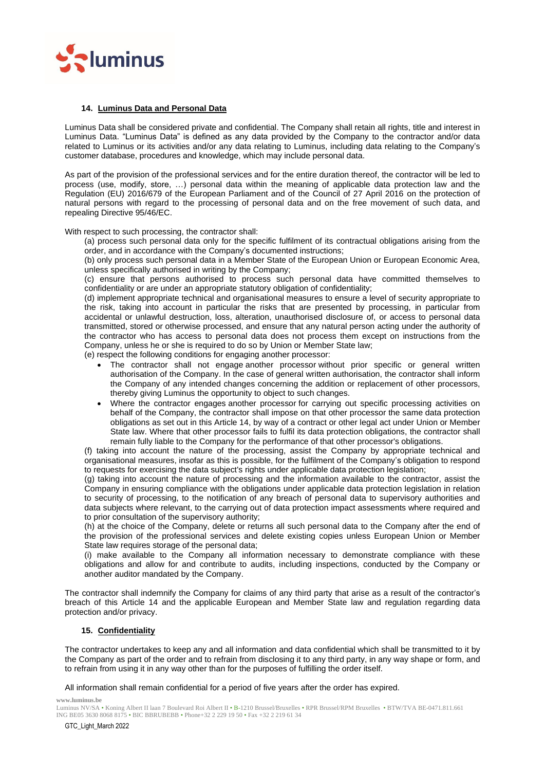

### **14. Luminus Data and Personal Data**

Luminus Data shall be considered private and confidential. The Company shall retain all rights, title and interest in Luminus Data. "Luminus Data" is defined as any data provided by the Company to the contractor and/or data related to Luminus or its activities and/or any data relating to Luminus, including data relating to the Company's customer database, procedures and knowledge, which may include personal data.

As part of the provision of the professional services and for the entire duration thereof, the contractor will be led to process (use, modify, store, …) personal data within the meaning of applicable data protection law and the Regulation (EU) 2016/679 of the European Parliament and of the Council of 27 April 2016 on the protection of natural persons with regard to the processing of personal data and on the free movement of such data, and repealing Directive 95/46/EC.

With respect to such processing, the contractor shall:

(a) process such personal data only for the specific fulfilment of its contractual obligations arising from the order, and in accordance with the Company's documented instructions;

(b) only process such personal data in a Member State of the European Union or European Economic Area, unless specifically authorised in writing by the Company;

(c) ensure that persons authorised to process such personal data have committed themselves to confidentiality or are under an appropriate statutory obligation of confidentiality;

(d) implement appropriate technical and organisational measures to ensure a level of security appropriate to the risk, taking into account in particular the risks that are presented by processing, in particular from accidental or unlawful destruction, loss, alteration, unauthorised disclosure of, or access to personal data transmitted, stored or otherwise processed, and ensure that any natural person acting under the authority of the contractor who has access to personal data does not process them except on instructions from the Company, unless he or she is required to do so by Union or Member State law;

(e) respect the following conditions for engaging another processor:

- The contractor shall not engage another processor without prior specific or general written authorisation of the Company. In the case of general written authorisation, the contractor shall inform the Company of any intended changes concerning the addition or replacement of other processors, thereby giving Luminus the opportunity to object to such changes.
- Where the contractor engages another processor for carrying out specific processing activities on behalf of the Company, the contractor shall impose on that other processor the same data protection obligations as set out in this Article 14, by way of a contract or other legal act under Union or Member State law. Where that other processor fails to fulfil its data protection obligations, the contractor shall remain fully liable to the Company for the performance of that other processor's obligations.

(f) taking into account the nature of the processing, assist the Company by appropriate technical and organisational measures, insofar as this is possible, for the fulfilment of the Company's obligation to respond to requests for exercising the data subject's rights under applicable data protection legislation;

(g) taking into account the nature of processing and the information available to the contractor, assist the Company in ensuring compliance with the obligations under applicable data protection legislation in relation to security of processing, to the notification of any breach of personal data to supervisory authorities and data subjects where relevant, to the carrying out of data protection impact assessments where required and to prior consultation of the supervisory authority;

(h) at the choice of the Company, delete or returns all such personal data to the Company after the end of the provision of the professional services and delete existing copies unless European Union or Member State law requires storage of the personal data;

(i) make available to the Company all information necessary to demonstrate compliance with these obligations and allow for and contribute to audits, including inspections, conducted by the Company or another auditor mandated by the Company.

The contractor shall indemnify the Company for claims of any third party that arise as a result of the contractor's breach of this Article 14 and the applicable European and Member State law and regulation regarding data protection and/or privacy.

### **15. Confidentiality**

The contractor undertakes to keep any and all information and data confidential which shall be transmitted to it by the Company as part of the order and to refrain from disclosing it to any third party, in any way shape or form, and to refrain from using it in any way other than for the purposes of fulfilling the order itself.

All information shall remain confidential for a period of five years after the order has expired.

**www.luminus.be**

Luminus NV/SA • Koning Albert II laan 7 Boulevard Roi Albert II • B-1210 Brussel/Bruxelles • RPR Brussel/RPM Bruxelles • BTW/TVA BE-0471.811.661 ING BE05 3630 8068 8175 • BIC BBRUBEBB • Phone+32 2 229 19 50 • Fax +32 2 219 61 34